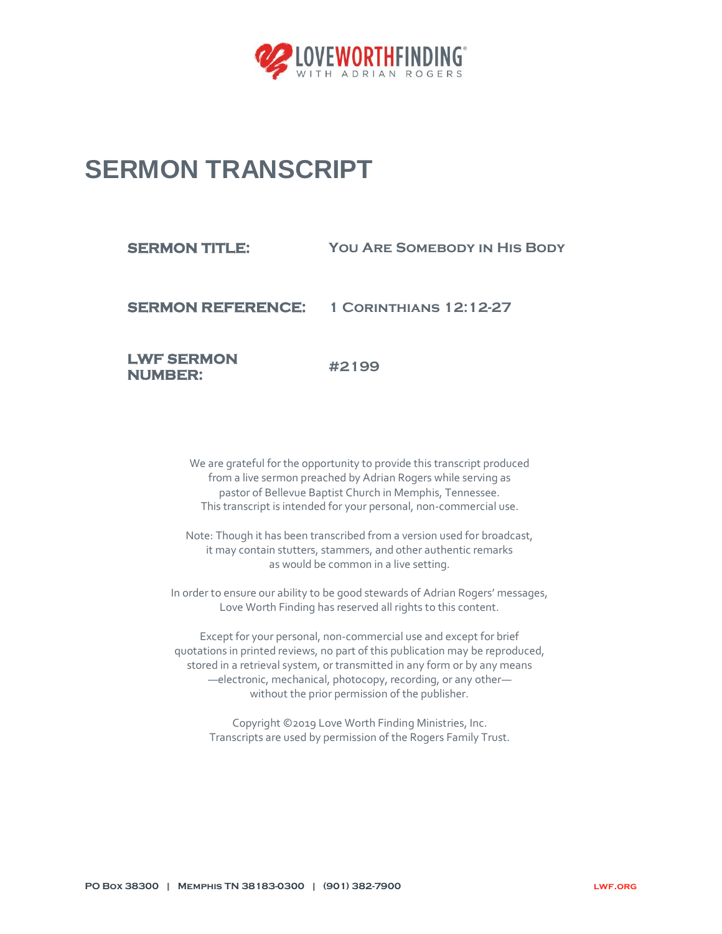

## **SERMON TRANSCRIPT**

**NUMBER:** 

| <b>SERMON TITLE:</b> | <b>YOU ARE SOMEBODY IN HIS BODY</b>             |
|----------------------|-------------------------------------------------|
|                      | <b>SERMON REFERENCE: 1 CORINTHIANS 12:12-27</b> |
| <b>LWF SERMON</b>    | #2199                                           |

We are grateful for the opportunity to provide this transcript produced from a live sermon preached by Adrian Rogers while serving as pastor of Bellevue Baptist Church in Memphis, Tennessee.

This transcript is intended for your personal, non-commercial use.

Note: Though it has been transcribed from a version used for broadcast, it may contain stutters, stammers, and other authentic remarks as would be common in a live setting.

In order to ensure our ability to be good stewards of Adrian Rogers' messages, Love Worth Finding has reserved all rights to this content.

Except for your personal, non-commercial use and except for brief quotations in printed reviews, no part of this publication may be reproduced, stored in a retrieval system, or transmitted in any form or by any means —electronic, mechanical, photocopy, recording, or any other without the prior permission of the publisher.

Copyright ©2019 Love Worth Finding Ministries, Inc. Transcripts are used by permission of the Rogers Family Trust.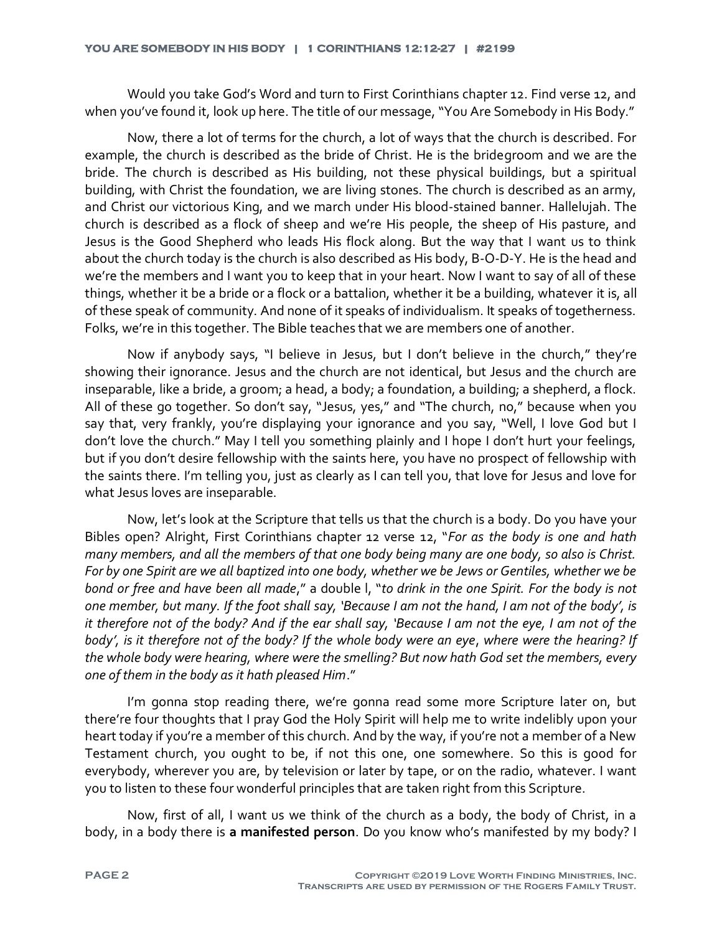Would you take God's Word and turn to First Corinthians chapter 12. Find verse 12, and when you've found it, look up here. The title of our message, "You Are Somebody in His Body."

Now, there a lot of terms for the church, a lot of ways that the church is described. For example, the church is described as the bride of Christ. He is the bridegroom and we are the bride. The church is described as His building, not these physical buildings, but a spiritual building, with Christ the foundation, we are living stones. The church is described as an army, and Christ our victorious King, and we march under His blood-stained banner. Hallelujah. The church is described as a flock of sheep and we're His people, the sheep of His pasture, and Jesus is the Good Shepherd who leads His flock along. But the way that I want us to think about the church today is the church is also described as His body, B-O-D-Y. He is the head and we're the members and I want you to keep that in your heart. Now I want to say of all of these things, whether it be a bride or a flock or a battalion, whether it be a building, whatever it is, all of these speak of community. And none of it speaks of individualism. It speaks of togetherness. Folks, we're in this together. The Bible teaches that we are members one of another.

Now if anybody says, "I believe in Jesus, but I don't believe in the church," they're showing their ignorance. Jesus and the church are not identical, but Jesus and the church are inseparable, like a bride, a groom; a head, a body; a foundation, a building; a shepherd, a flock. All of these go together. So don't say, "Jesus, yes," and "The church, no," because when you say that, very frankly, you're displaying your ignorance and you say, "Well, I love God but I don't love the church." May I tell you something plainly and I hope I don't hurt your feelings, but if you don't desire fellowship with the saints here, you have no prospect of fellowship with the saints there. I'm telling you, just as clearly as I can tell you, that love for Jesus and love for what Jesus loves are inseparable.

Now, let's look at the Scripture that tells us that the church is a body. Do you have your Bibles open? Alright, First Corinthians chapter 12 verse 12, "*For as the body is one and hath many members, and all the members of that one body being many are one body, so also is Christ. For by one Spirit are we all baptized into one body, whether we be Jews or Gentiles, whether we be bond or free and have been all made*," a double l, "*to drink in the one Spirit. For the body is not one member, but many. If the foot shall say, 'Because I am not the hand, I am not of the body', is it therefore not of the body? And if the ear shall say, 'Because I am not the eye, I am not of the body', is it therefore not of the body? If the whole body were an eye*, *where were the hearing? If the whole body were hearing, where were the smelling? But now hath God set the members, every one of them in the body as it hath pleased Him*."

I'm gonna stop reading there, we're gonna read some more Scripture later on, but there're four thoughts that I pray God the Holy Spirit will help me to write indelibly upon your heart today if you're a member of this church. And by the way, if you're not a member of a New Testament church, you ought to be, if not this one, one somewhere. So this is good for everybody, wherever you are, by television or later by tape, or on the radio, whatever. I want you to listen to these four wonderful principles that are taken right from this Scripture.

Now, first of all, I want us we think of the church as a body, the body of Christ, in a body, in a body there is **a manifested person**. Do you know who's manifested by my body? I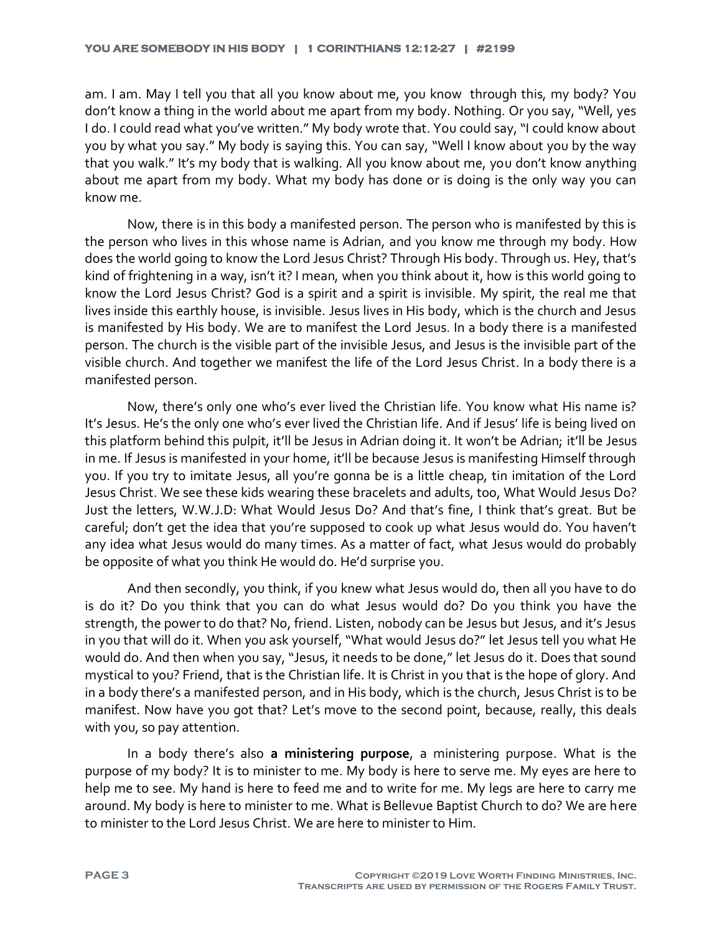am. I am. May I tell you that all you know about me, you know through this, my body? You don't know a thing in the world about me apart from my body. Nothing. Or you say, "Well, yes I do. I could read what you've written." My body wrote that. You could say, "I could know about you by what you say." My body is saying this. You can say, "Well I know about you by the way that you walk." It's my body that is walking. All you know about me, you don't know anything about me apart from my body. What my body has done or is doing is the only way you can know me.

Now, there is in this body a manifested person. The person who is manifested by this is the person who lives in this whose name is Adrian, and you know me through my body. How does the world going to know the Lord Jesus Christ? Through His body. Through us. Hey, that's kind of frightening in a way, isn't it? I mean, when you think about it, how is this world going to know the Lord Jesus Christ? God is a spirit and a spirit is invisible. My spirit, the real me that lives inside this earthly house, is invisible. Jesus lives in His body, which is the church and Jesus is manifested by His body. We are to manifest the Lord Jesus. In a body there is a manifested person. The church is the visible part of the invisible Jesus, and Jesus is the invisible part of the visible church. And together we manifest the life of the Lord Jesus Christ. In a body there is a manifested person.

Now, there's only one who's ever lived the Christian life. You know what His name is? It's Jesus. He's the only one who's ever lived the Christian life. And if Jesus' life is being lived on this platform behind this pulpit, it'll be Jesus in Adrian doing it. It won't be Adrian; it'll be Jesus in me. If Jesus is manifested in your home, it'll be because Jesus is manifesting Himself through you. If you try to imitate Jesus, all you're gonna be is a little cheap, tin imitation of the Lord Jesus Christ. We see these kids wearing these bracelets and adults, too, What Would Jesus Do? Just the letters, W.W.J.D: What Would Jesus Do? And that's fine, I think that's great. But be careful; don't get the idea that you're supposed to cook up what Jesus would do. You haven't any idea what Jesus would do many times. As a matter of fact, what Jesus would do probably be opposite of what you think He would do. He'd surprise you.

And then secondly, you think, if you knew what Jesus would do, then all you have to do is do it? Do you think that you can do what Jesus would do? Do you think you have the strength, the power to do that? No, friend. Listen, nobody can be Jesus but Jesus, and it's Jesus in you that will do it. When you ask yourself, "What would Jesus do?" let Jesus tell you what He would do. And then when you say, "Jesus, it needs to be done," let Jesus do it. Does that sound mystical to you? Friend, that is the Christian life. It is Christ in you that is the hope of glory. And in a body there's a manifested person, and in His body, which is the church, Jesus Christ is to be manifest. Now have you got that? Let's move to the second point, because, really, this deals with you, so pay attention.

In a body there's also **a ministering purpose**, a ministering purpose. What is the purpose of my body? It is to minister to me. My body is here to serve me. My eyes are here to help me to see. My hand is here to feed me and to write for me. My legs are here to carry me around. My body is here to minister to me. What is Bellevue Baptist Church to do? We are here to minister to the Lord Jesus Christ. We are here to minister to Him.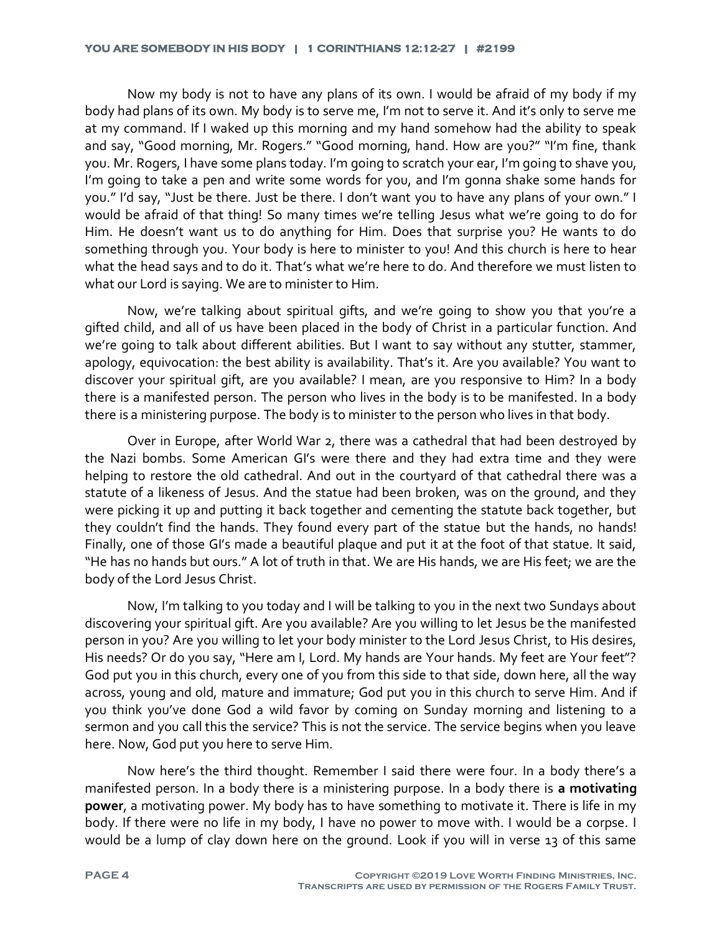Now my body is not to have any plans of its own. I would be afraid of my body if my body had plans of its own. My body is to serve me, I'm not to serve it. And it's only to serve me at my command. If I waked up this morning and my hand somehow had the ability to speak and say, "Good morning, Mr. Rogers." "Good morning, hand. How are you?" "I'm fine, thank you. Mr. Rogers, I have some plans today. I'm going to scratch your ear, I'm going to shave you, I'm going to take a pen and write some words for you, and I'm gonna shake some hands for you." I'd say, "Just be there. Just be there. I don't want you to have any plans of your own." I would be afraid of that thing! So many times we're telling Jesus what we're going to do for Him. He doesn't want us to do anything for Him. Does that surprise you? He wants to do something through you. Your body is here to minister to you! And this church is here to hear what the head says and to do it. That's what we're here to do. And therefore we must listen to what our Lord is saying. We are to minister to Him.

Now, we're talking about spiritual gifts, and we're going to show you that you're a gifted child, and all of us have been placed in the body of Christ in a particular function. And we're going to talk about different abilities. But I want to say without any stutter, stammer, apology, equivocation: the best ability is availability. That's it. Are you available? You want to discover your spiritual gift, are you available? I mean, are you responsive to Him? In a body there is a manifested person. The person who lives in the body is to be manifested. In a body there is a ministering purpose. The body is to minister to the person who lives in that body.

Over in Europe, after World War 2, there was a cathedral that had been destroyed by the Nazi bombs. Some American GI's were there and they had extra time and they were helping to restore the old cathedral. And out in the courtyard of that cathedral there was a statute of a likeness of Jesus. And the statue had been broken, was on the ground, and they were picking it up and putting it back together and cementing the statute back together, but they couldn't find the hands. They found every part of the statue but the hands, no hands! Finally, one of those GI's made a beautiful plaque and put it at the foot of that statue. It said, "He has no hands but ours." A lot of truth in that. We are His hands, we are His feet; we are the body of the Lord Jesus Christ.

Now, I'm talking to you today and I will be talking to you in the next two Sundays about discovering your spiritual gift. Are you available? Are you willing to let Jesus be the manifested person in you? Are you willing to let your body minister to the Lord Jesus Christ, to His desires, His needs? Or do you say, "Here am I, Lord. My hands are Your hands. My feet are Your feet"? God put you in this church, every one of you from this side to that side, down here, all the way across, young and old, mature and immature; God put you in this church to serve Him. And if you think you've done God a wild favor by coming on Sunday morning and listening to a sermon and you call this the service? This is not the service. The service begins when you leave here. Now, God put you here to serve Him.

Now here's the third thought. Remember I said there were four. In a body there's a manifested person. In a body there is a ministering purpose. In a body there is **a motivating power**, a motivating power. My body has to have something to motivate it. There is life in my body. If there were no life in my body, I have no power to move with. I would be a corpse. I would be a lump of clay down here on the ground. Look if you will in verse 13 of this same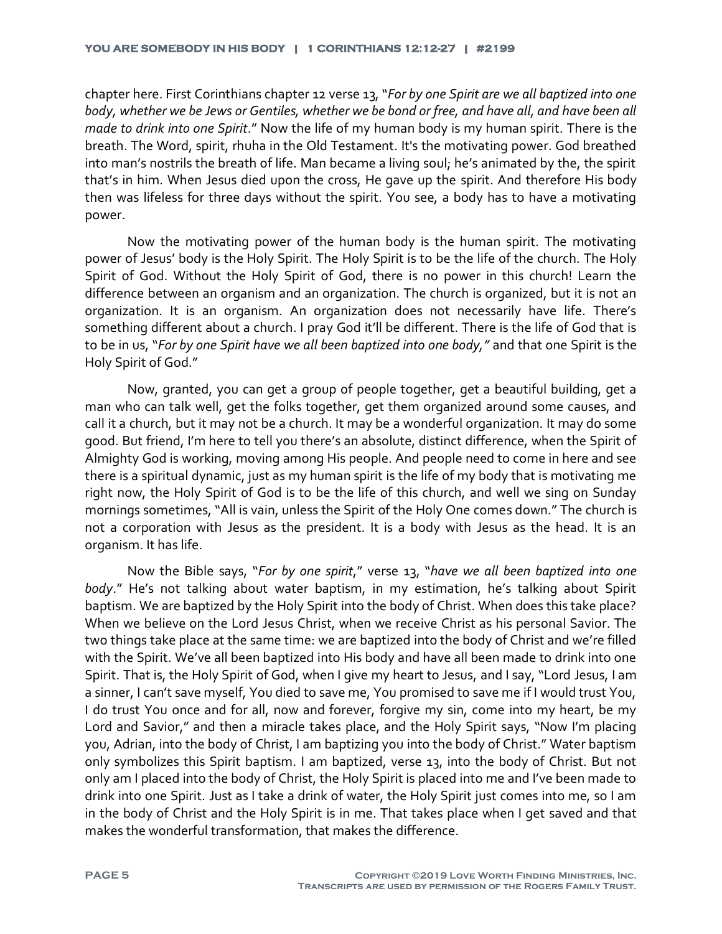chapter here. First Corinthians chapter 12 verse 13, "*For by one Spirit are we all baptized into one body, whether we be Jews or Gentiles, whether we be bond or free, and have all, and have been all made to drink into one Spirit*." Now the life of my human body is my human spirit. There is the breath. The Word, spirit, rhuha in the Old Testament. It's the motivating power. God breathed into man's nostrils the breath of life. Man became a living soul; he's animated by the, the spirit that's in him. When Jesus died upon the cross, He gave up the spirit. And therefore His body then was lifeless for three days without the spirit. You see, a body has to have a motivating power.

Now the motivating power of the human body is the human spirit. The motivating power of Jesus' body is the Holy Spirit. The Holy Spirit is to be the life of the church. The Holy Spirit of God. Without the Holy Spirit of God, there is no power in this church! Learn the difference between an organism and an organization. The church is organized, but it is not an organization. It is an organism. An organization does not necessarily have life. There's something different about a church. I pray God it'll be different. There is the life of God that is to be in us, "*For by one Spirit have we all been baptized into one body,"* and that one Spirit is the Holy Spirit of God."

Now, granted, you can get a group of people together, get a beautiful building, get a man who can talk well, get the folks together, get them organized around some causes, and call it a church, but it may not be a church. It may be a wonderful organization. It may do some good. But friend, I'm here to tell you there's an absolute, distinct difference, when the Spirit of Almighty God is working, moving among His people. And people need to come in here and see there is a spiritual dynamic, just as my human spirit is the life of my body that is motivating me right now, the Holy Spirit of God is to be the life of this church, and well we sing on Sunday mornings sometimes, "All is vain, unless the Spirit of the Holy One comes down." The church is not a corporation with Jesus as the president. It is a body with Jesus as the head. It is an organism. It has life.

Now the Bible says, "*For by one spirit*," verse 13, "*have we all been baptized into one body*." He's not talking about water baptism, in my estimation, he's talking about Spirit baptism. We are baptized by the Holy Spirit into the body of Christ. When does this take place? When we believe on the Lord Jesus Christ, when we receive Christ as his personal Savior. The two things take place at the same time: we are baptized into the body of Christ and we're filled with the Spirit. We've all been baptized into His body and have all been made to drink into one Spirit. That is, the Holy Spirit of God, when I give my heart to Jesus, and I say, "Lord Jesus, I am a sinner, I can't save myself, You died to save me, You promised to save me if I would trust You, I do trust You once and for all, now and forever, forgive my sin, come into my heart, be my Lord and Savior," and then a miracle takes place, and the Holy Spirit says, "Now I'm placing you, Adrian, into the body of Christ, I am baptizing you into the body of Christ." Water baptism only symbolizes this Spirit baptism. I am baptized, verse 13, into the body of Christ. But not only am I placed into the body of Christ, the Holy Spirit is placed into me and I've been made to drink into one Spirit. Just as I take a drink of water, the Holy Spirit just comes into me, so I am in the body of Christ and the Holy Spirit is in me. That takes place when I get saved and that makes the wonderful transformation, that makes the difference.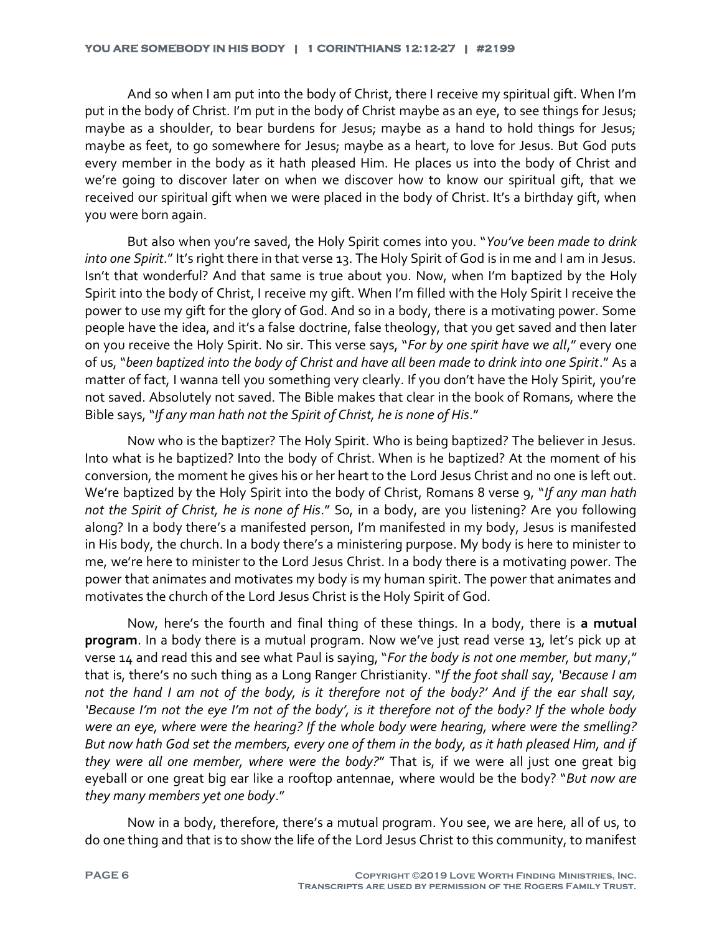And so when I am put into the body of Christ, there I receive my spiritual gift. When I'm put in the body of Christ. I'm put in the body of Christ maybe as an eye, to see things for Jesus; maybe as a shoulder, to bear burdens for Jesus; maybe as a hand to hold things for Jesus; maybe as feet, to go somewhere for Jesus; maybe as a heart, to love for Jesus. But God puts every member in the body as it hath pleased Him. He places us into the body of Christ and we're going to discover later on when we discover how to know our spiritual gift, that we received our spiritual gift when we were placed in the body of Christ. It's a birthday gift, when you were born again.

But also when you're saved, the Holy Spirit comes into you. "*You've been made to drink into one Spirit*." It's right there in that verse 13. The Holy Spirit of God is in me and I am in Jesus. Isn't that wonderful? And that same is true about you. Now, when I'm baptized by the Holy Spirit into the body of Christ, I receive my gift. When I'm filled with the Holy Spirit I receive the power to use my gift for the glory of God. And so in a body, there is a motivating power. Some people have the idea, and it's a false doctrine, false theology, that you get saved and then later on you receive the Holy Spirit. No sir. This verse says, "*For by one spirit have we all*," every one of us, "*been baptized into the body of Christ and have all been made to drink into one Spirit*." As a matter of fact, I wanna tell you something very clearly. If you don't have the Holy Spirit, you're not saved. Absolutely not saved. The Bible makes that clear in the book of Romans, where the Bible says, "*If any man hath not the Spirit of Christ, he is none of His*."

Now who is the baptizer? The Holy Spirit. Who is being baptized? The believer in Jesus. Into what is he baptized? Into the body of Christ. When is he baptized? At the moment of his conversion, the moment he gives his or her heart to the Lord Jesus Christ and no one is left out. We're baptized by the Holy Spirit into the body of Christ, Romans 8 verse 9, "*If any man hath not the Spirit of Christ, he is none of His*." So, in a body, are you listening? Are you following along? In a body there's a manifested person, I'm manifested in my body, Jesus is manifested in His body, the church. In a body there's a ministering purpose. My body is here to minister to me, we're here to minister to the Lord Jesus Christ. In a body there is a motivating power. The power that animates and motivates my body is my human spirit. The power that animates and motivates the church of the Lord Jesus Christ is the Holy Spirit of God.

Now, here's the fourth and final thing of these things. In a body, there is **a mutual program**. In a body there is a mutual program. Now we've just read verse 13, let's pick up at verse 14 and read this and see what Paul is saying, "*For the body is not one member, but many*," that is, there's no such thing as a Long Ranger Christianity. "*If the foot shall say, 'Because I am not the hand I am not of the body, is it therefore not of the body?' And if the ear shall say, 'Because I'm not the eye I'm not of the body', is it therefore not of the body? If the whole body were an eye, where were the hearing? If the whole body were hearing, where were the smelling? But now hath God set the members, every one of them in the body, as it hath pleased Him, and if they were all one member, where were the body?*" That is, if we were all just one great big eyeball or one great big ear like a rooftop antennae, where would be the body? "*But now are they many members yet one body*."

Now in a body, therefore, there's a mutual program. You see, we are here, all of us, to do one thing and that is to show the life of the Lord Jesus Christ to this community, to manifest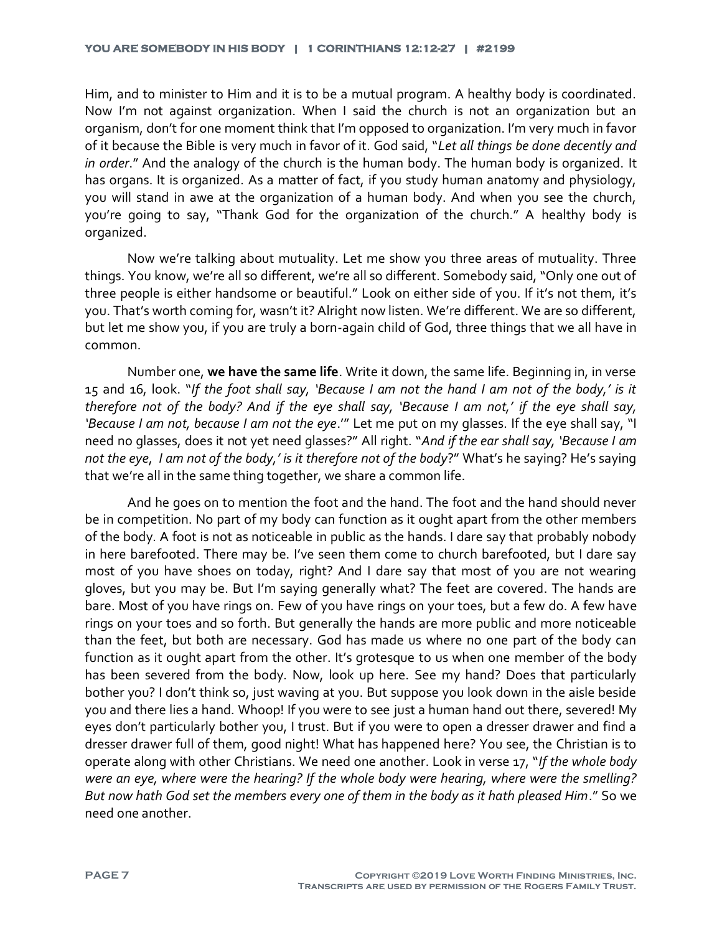Him, and to minister to Him and it is to be a mutual program. A healthy body is coordinated. Now I'm not against organization. When I said the church is not an organization but an organism, don't for one moment think that I'm opposed to organization. I'm very much in favor of it because the Bible is very much in favor of it. God said, "*Let all things be done decently and in order*." And the analogy of the church is the human body. The human body is organized. It has organs. It is organized. As a matter of fact, if you study human anatomy and physiology, you will stand in awe at the organization of a human body. And when you see the church, you're going to say, "Thank God for the organization of the church." A healthy body is organized.

Now we're talking about mutuality. Let me show you three areas of mutuality. Three things. You know, we're all so different, we're all so different. Somebody said, "Only one out of three people is either handsome or beautiful." Look on either side of you. If it's not them, it's you. That's worth coming for, wasn't it? Alright now listen. We're different. We are so different, but let me show you, if you are truly a born-again child of God, three things that we all have in common.

Number one, **we have the same life**. Write it down, the same life. Beginning in, in verse 15 and 16, look. "*If the foot shall say, 'Because I am not the hand I am not of the body,' is it therefore not of the body? And if the eye shall say, 'Because I am not,' if the eye shall say, 'Because I am not, because I am not the eye*.'" Let me put on my glasses. If the eye shall say, "I need no glasses, does it not yet need glasses?" All right. "*And if the ear shall say, 'Because I am not the eye*, *I am not of the body,' is it therefore not of the body*?" What's he saying? He's saying that we're all in the same thing together, we share a common life.

And he goes on to mention the foot and the hand. The foot and the hand should never be in competition. No part of my body can function as it ought apart from the other members of the body. A foot is not as noticeable in public as the hands. I dare say that probably nobody in here barefooted. There may be. I've seen them come to church barefooted, but I dare say most of you have shoes on today, right? And I dare say that most of you are not wearing gloves, but you may be. But I'm saying generally what? The feet are covered. The hands are bare. Most of you have rings on. Few of you have rings on your toes, but a few do. A few have rings on your toes and so forth. But generally the hands are more public and more noticeable than the feet, but both are necessary. God has made us where no one part of the body can function as it ought apart from the other. It's grotesque to us when one member of the body has been severed from the body. Now, look up here. See my hand? Does that particularly bother you? I don't think so, just waving at you. But suppose you look down in the aisle beside you and there lies a hand. Whoop! If you were to see just a human hand out there, severed! My eyes don't particularly bother you, I trust. But if you were to open a dresser drawer and find a dresser drawer full of them, good night! What has happened here? You see, the Christian is to operate along with other Christians. We need one another. Look in verse 17, "*If the whole body were an eye, where were the hearing? If the whole body were hearing, where were the smelling? But now hath God set the members every one of them in the body as it hath pleased Him*." So we need one another.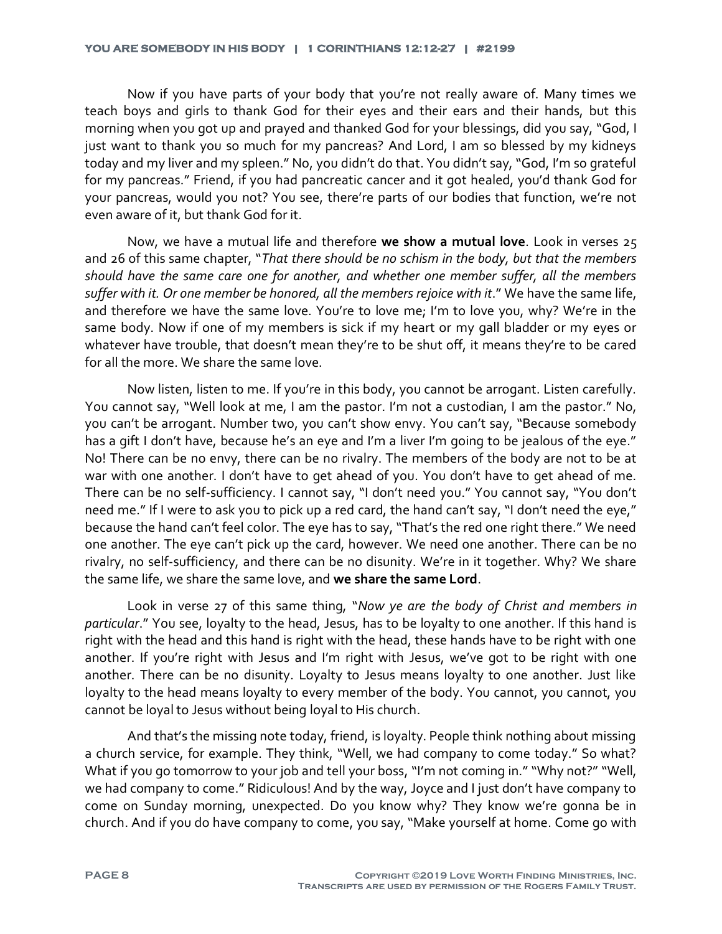Now if you have parts of your body that you're not really aware of. Many times we teach boys and girls to thank God for their eyes and their ears and their hands, but this morning when you got up and prayed and thanked God for your blessings, did you say, "God, I just want to thank you so much for my pancreas? And Lord, I am so blessed by my kidneys today and my liver and my spleen." No, you didn't do that. You didn't say, "God, I'm so grateful for my pancreas." Friend, if you had pancreatic cancer and it got healed, you'd thank God for your pancreas, would you not? You see, there're parts of our bodies that function, we're not even aware of it, but thank God for it.

Now, we have a mutual life and therefore **we show a mutual love**. Look in verses 25 and 26 of this same chapter, "*That there should be no schism in the body, but that the members should have the same care one for another, and whether one member suffer, all the members*  suffer with it. Or one member be honored, all the members rejoice with it." We have the same life, and therefore we have the same love. You're to love me; I'm to love you, why? We're in the same body. Now if one of my members is sick if my heart or my gall bladder or my eyes or whatever have trouble, that doesn't mean they're to be shut off, it means they're to be cared for all the more. We share the same love.

Now listen, listen to me. If you're in this body, you cannot be arrogant. Listen carefully. You cannot say, "Well look at me, I am the pastor. I'm not a custodian, I am the pastor." No, you can't be arrogant. Number two, you can't show envy. You can't say, "Because somebody has a gift I don't have, because he's an eye and I'm a liver I'm going to be jealous of the eye." No! There can be no envy, there can be no rivalry. The members of the body are not to be at war with one another. I don't have to get ahead of you. You don't have to get ahead of me. There can be no self-sufficiency. I cannot say, "I don't need you." You cannot say, "You don't need me." If I were to ask you to pick up a red card, the hand can't say, "I don't need the eye," because the hand can't feel color. The eye has to say, "That's the red one right there." We need one another. The eye can't pick up the card, however. We need one another. There can be no rivalry, no self-sufficiency, and there can be no disunity. We're in it together. Why? We share the same life, we share the same love, and **we share the same Lord**.

Look in verse 27 of this same thing, "*Now ye are the body of Christ and members in particular*." You see, loyalty to the head, Jesus, has to be loyalty to one another. If this hand is right with the head and this hand is right with the head, these hands have to be right with one another. If you're right with Jesus and I'm right with Jesus, we've got to be right with one another. There can be no disunity. Loyalty to Jesus means loyalty to one another. Just like loyalty to the head means loyalty to every member of the body. You cannot, you cannot, you cannot be loyal to Jesus without being loyal to His church.

And that's the missing note today, friend, is loyalty. People think nothing about missing a church service, for example. They think, "Well, we had company to come today." So what? What if you go tomorrow to your job and tell your boss, "I'm not coming in." "Why not?" "Well, we had company to come." Ridiculous! And by the way, Joyce and I just don't have company to come on Sunday morning, unexpected. Do you know why? They know we're gonna be in church. And if you do have company to come, you say, "Make yourself at home. Come go with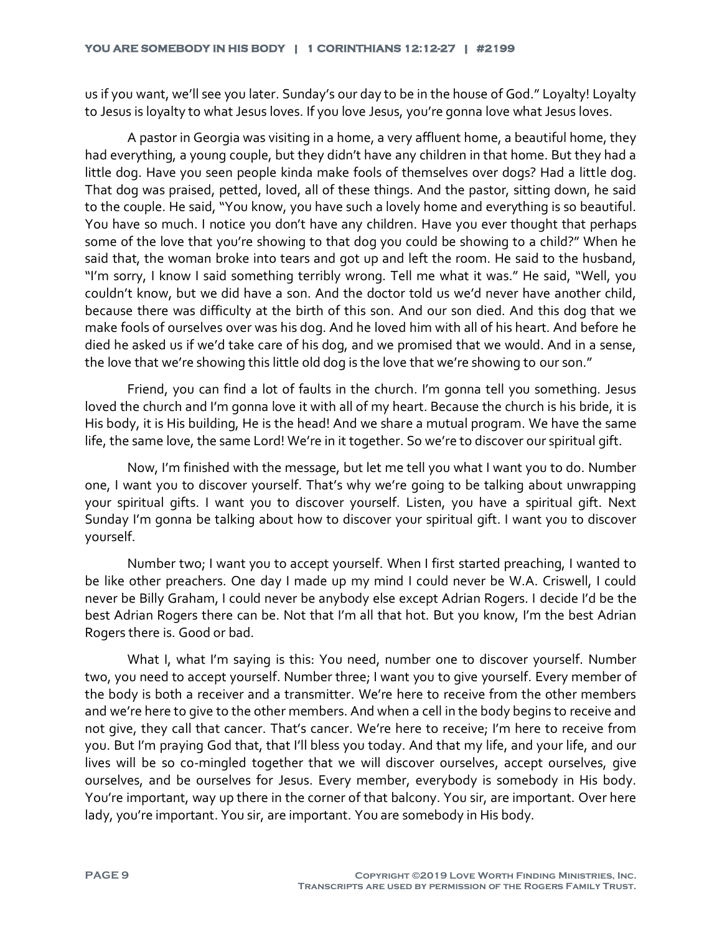us if you want, we'll see you later. Sunday's our day to be in the house of God." Loyalty! Loyalty to Jesus is loyalty to what Jesus loves. If you love Jesus, you're gonna love what Jesus loves.

A pastor in Georgia was visiting in a home, a very affluent home, a beautiful home, they had everything, a young couple, but they didn't have any children in that home. But they had a little dog. Have you seen people kinda make fools of themselves over dogs? Had a little dog. That dog was praised, petted, loved, all of these things. And the pastor, sitting down, he said to the couple. He said, "You know, you have such a lovely home and everything is so beautiful. You have so much. I notice you don't have any children. Have you ever thought that perhaps some of the love that you're showing to that dog you could be showing to a child?" When he said that, the woman broke into tears and got up and left the room. He said to the husband, "I'm sorry, I know I said something terribly wrong. Tell me what it was." He said, "Well, you couldn't know, but we did have a son. And the doctor told us we'd never have another child, because there was difficulty at the birth of this son. And our son died. And this dog that we make fools of ourselves over was his dog. And he loved him with all of his heart. And before he died he asked us if we'd take care of his dog, and we promised that we would. And in a sense, the love that we're showing this little old dog is the love that we're showing to our son."

Friend, you can find a lot of faults in the church. I'm gonna tell you something. Jesus loved the church and I'm gonna love it with all of my heart. Because the church is his bride, it is His body, it is His building, He is the head! And we share a mutual program. We have the same life, the same love, the same Lord! We're in it together. So we're to discover our spiritual gift.

Now, I'm finished with the message, but let me tell you what I want you to do. Number one, I want you to discover yourself. That's why we're going to be talking about unwrapping your spiritual gifts. I want you to discover yourself. Listen, you have a spiritual gift. Next Sunday I'm gonna be talking about how to discover your spiritual gift. I want you to discover yourself.

Number two; I want you to accept yourself. When I first started preaching, I wanted to be like other preachers. One day I made up my mind I could never be W.A. Criswell, I could never be Billy Graham, I could never be anybody else except Adrian Rogers. I decide I'd be the best Adrian Rogers there can be. Not that I'm all that hot. But you know, I'm the best Adrian Rogers there is. Good or bad.

What I, what I'm saying is this: You need, number one to discover yourself. Number two, you need to accept yourself. Number three; I want you to give yourself. Every member of the body is both a receiver and a transmitter. We're here to receive from the other members and we're here to give to the other members. And when a cell in the body begins to receive and not give, they call that cancer. That's cancer. We're here to receive; I'm here to receive from you. But I'm praying God that, that I'll bless you today. And that my life, and your life, and our lives will be so co-mingled together that we will discover ourselves, accept ourselves, give ourselves, and be ourselves for Jesus. Every member, everybody is somebody in His body. You're important, way up there in the corner of that balcony. You sir, are important. Over here lady, you're important. You sir, are important. You are somebody in His body.